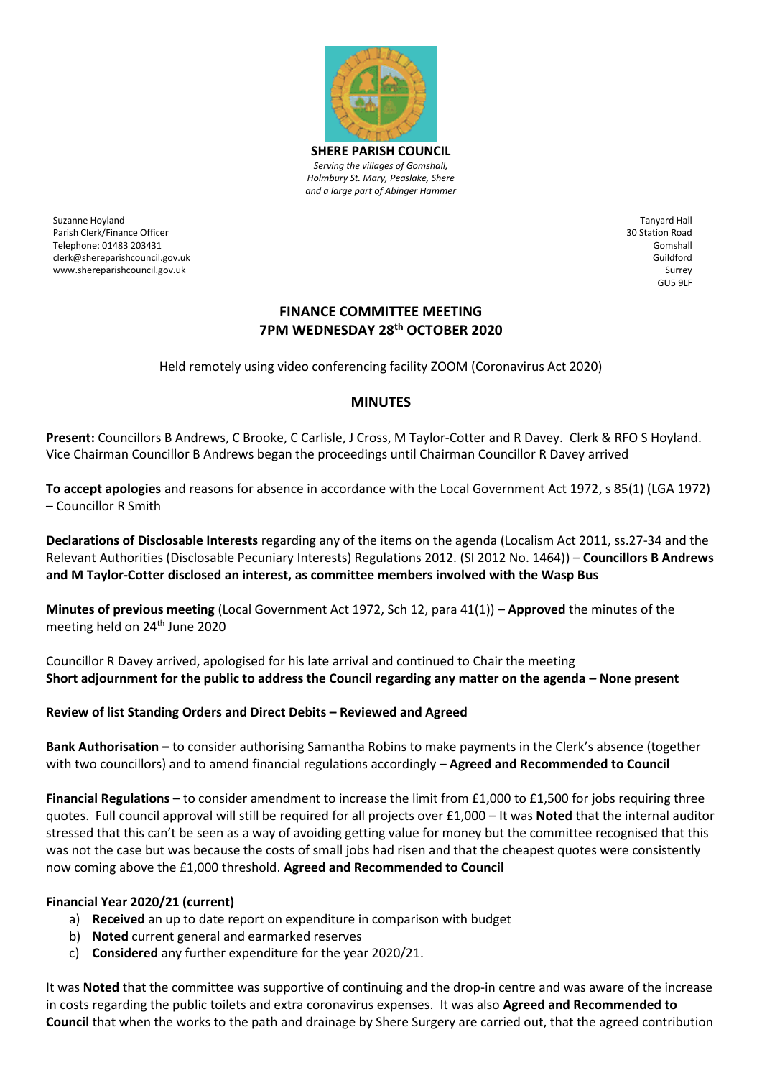

Suzanne Hoyland Parish Clerk/Finance Officer Telephone: 01483 203431 clerk@shereparishcouncil.gov.uk www.shereparishcouncil.gov.uk

Tanyard Hall 30 Station Road Gomshall Guildford Surrey GU5 9LF

## **FINANCE COMMITTEE MEETING 7PM WEDNESDAY 28th OCTOBER 2020**

Held remotely using video conferencing facility ZOOM (Coronavirus Act 2020)

## **MINUTES**

**Present:** Councillors B Andrews, C Brooke, C Carlisle, J Cross, M Taylor-Cotter and R Davey. Clerk & RFO S Hoyland. Vice Chairman Councillor B Andrews began the proceedings until Chairman Councillor R Davey arrived

**To accept apologies** and reasons for absence in accordance with the Local Government Act 1972, s 85(1) (LGA 1972) – Councillor R Smith

**Declarations of Disclosable Interests** regarding any of the items on the agenda (Localism Act 2011, ss.27-34 and the Relevant Authorities (Disclosable Pecuniary Interests) Regulations 2012. (SI 2012 No. 1464)) – **Councillors B Andrews and M Taylor-Cotter disclosed an interest, as committee members involved with the Wasp Bus** 

**Minutes of previous meeting** (Local Government Act 1972, Sch 12, para 41(1)) – **Approved** the minutes of the meeting held on 24<sup>th</sup> June 2020

Councillor R Davey arrived, apologised for his late arrival and continued to Chair the meeting **Short adjournment for the public to address the Council regarding any matter on the agenda – None present** 

## **Review of list Standing Orders and Direct Debits – Reviewed and Agreed**

**Bank Authorisation –** to consider authorising Samantha Robins to make payments in the Clerk's absence (together with two councillors) and to amend financial regulations accordingly – **Agreed and Recommended to Council**

**Financial Regulations** – to consider amendment to increase the limit from £1,000 to £1,500 for jobs requiring three quotes. Full council approval will still be required for all projects over £1,000 – It was **Noted** that the internal auditor stressed that this can't be seen as a way of avoiding getting value for money but the committee recognised that this was not the case but was because the costs of small jobs had risen and that the cheapest quotes were consistently now coming above the £1,000 threshold. **Agreed and Recommended to Council**

## **Financial Year 2020/21 (current)**

- a) **Received** an up to date report on expenditure in comparison with budget
- b) **Noted** current general and earmarked reserves
- c) **Considered** any further expenditure for the year 2020/21.

It was **Noted** that the committee was supportive of continuing and the drop-in centre and was aware of the increase in costs regarding the public toilets and extra coronavirus expenses. It was also **Agreed and Recommended to Council** that when the works to the path and drainage by Shere Surgery are carried out, that the agreed contribution